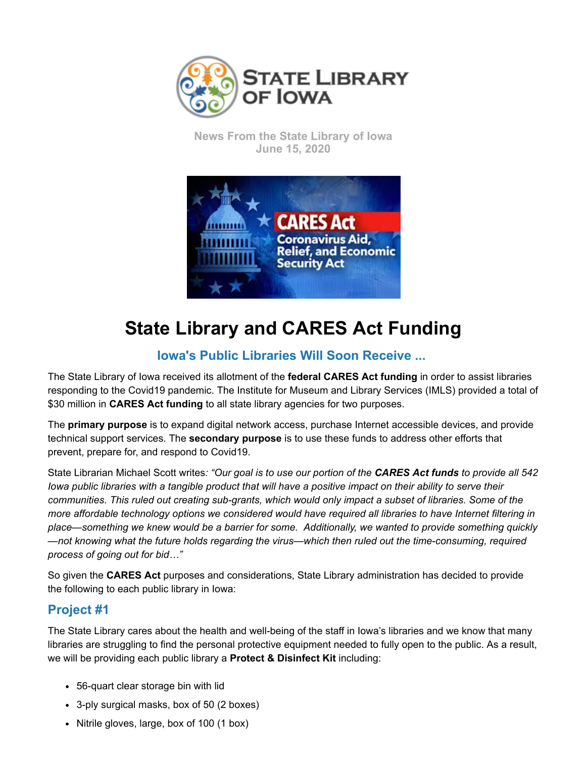

**News From the State Library of Iowa June 15, 2020**



## **State Library and CARES Act Funding**

## **Iowa's Public Libraries Will Soon Receive ...**

The State Library of Iowa received its allotment of the **federal CARES Act funding** in order to assist libraries responding to the Covid19 pandemic. The Institute for Museum and Library Services (IMLS) provided a total of \$30 million in **CARES Act funding** to all state library agencies for two purposes.

The **primary purpose** is to expand digital network access, purchase Internet accessible devices, and provide technical support services. The **secondary purpose** is to use these funds to address other efforts that prevent, prepare for, and respond to Covid19.

State Librarian Michael Scott writes*: "Our goal is to use our portion of the CARES Act funds to provide all 542 Iowa public libraries with a tangible product that will have a positive impact on their ability to serve their communities. This ruled out creating sub-grants, which would only impact a subset of libraries. Some of the more affordable technology options we considered would have required all libraries to have Internet filtering in place—something we knew would be a barrier for some. Additionally, we wanted to provide something quickly —not knowing what the future holds regarding the virus—which then ruled out the time-consuming, required process of going out for bid…"*

So given the **CARES Act** purposes and considerations, State Library administration has decided to provide the following to each public library in Iowa:

## **Project #1**

The State Library cares about the health and well-being of the staff in Iowa's libraries and we know that many libraries are struggling to find the personal protective equipment needed to fully open to the public. As a result, we will be providing each public library a **Protect & Disinfect Kit** including:

- 56-quart clear storage bin with lid
- 3-ply surgical masks, box of 50 (2 boxes)
- Nitrile gloves, large, box of 100 (1 box)